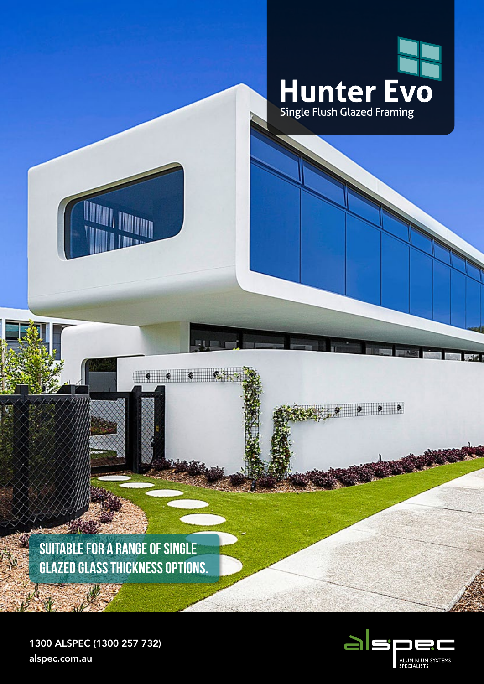

. . . . .

**SUITABLE FOR A RANGE OF SINGLE GLAZED GLASS THICKNESS OPTIONS.**

原则

1300 ALSPEC (1300 257 732) alspec.com.au